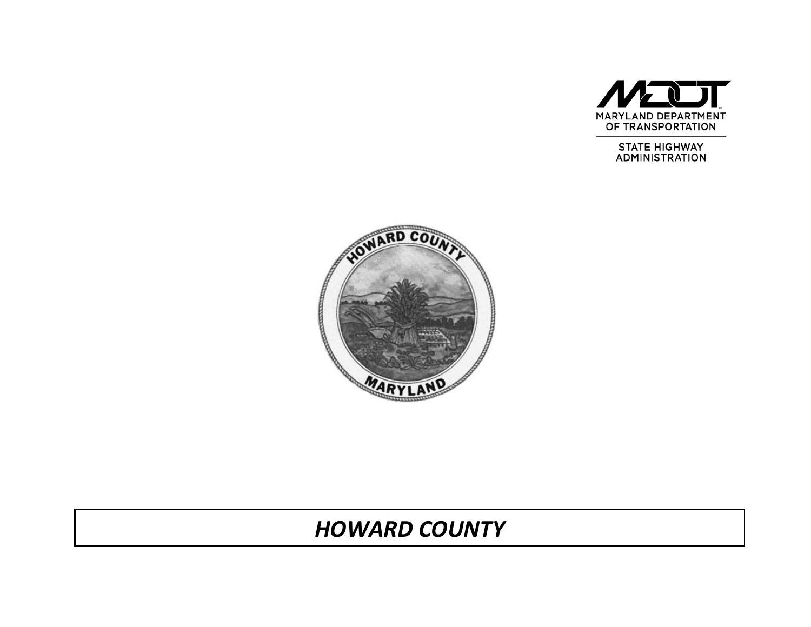

**STATE HIGHWAY ADMINISTRATION** 



# *HOWARD COUNTY*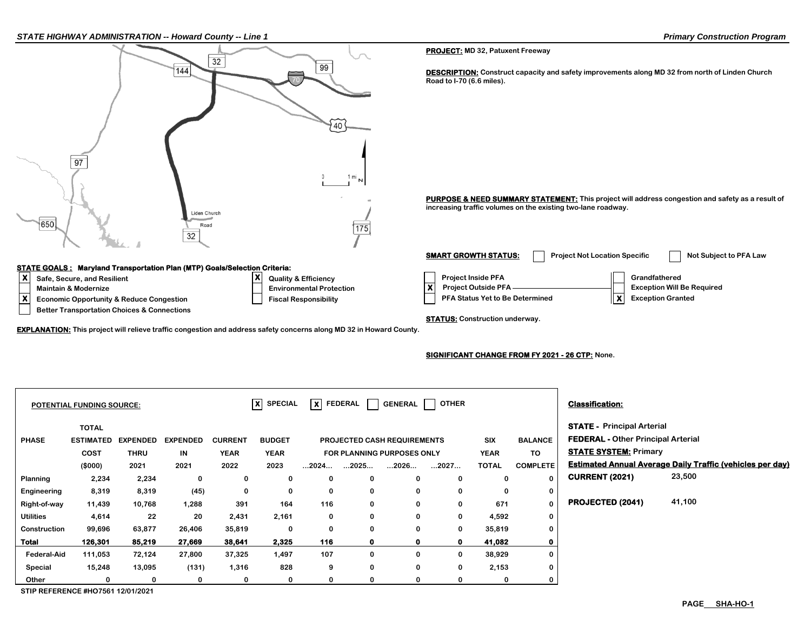| STATE HIGHWAY ADMINISTRATION -- Howard County -- Line 1                                                                    |                                                                |                   |                            |                |                                 |                                                                    |             |                             |                                         |                                           |                                 | <b>Primary Construction Program</b>                                                                                                                              |
|----------------------------------------------------------------------------------------------------------------------------|----------------------------------------------------------------|-------------------|----------------------------|----------------|---------------------------------|--------------------------------------------------------------------|-------------|-----------------------------|-----------------------------------------|-------------------------------------------|---------------------------------|------------------------------------------------------------------------------------------------------------------------------------------------------------------|
|                                                                                                                            |                                                                |                   |                            |                |                                 |                                                                    |             |                             | <b>PROJECT:</b> MD 32, Patuxent Freeway |                                           |                                 |                                                                                                                                                                  |
|                                                                                                                            |                                                                |                   | 144                        | 32             |                                 | 99                                                                 |             |                             | Road to I-70 (6.6 miles).               |                                           |                                 | <b>DESCRIPTION:</b> Construct capacity and safety improvements along MD 32 from north of Linden Church                                                           |
| 650                                                                                                                        | 97                                                             |                   | Liden Church<br>Road<br>32 |                |                                 |                                                                    | 1 m<br>175  |                             |                                         |                                           |                                 | PURPOSE & NEED SUMMARY STATEMENT: This project will address congestion and safety as a result of<br>increasing traffic volumes on the existing two-lane roadway. |
|                                                                                                                            |                                                                |                   |                            |                |                                 |                                                                    |             |                             | <b>SMART GROWTH STATUS:</b>             |                                           |                                 | <b>Project Not Location Specific</b><br>Not Subject to PFA Law                                                                                                   |
| <b>STATE GOALS: Maryland Transportation Plan (MTP) Goals/Selection Criteria:</b>                                           |                                                                |                   |                            |                |                                 |                                                                    |             |                             |                                         |                                           |                                 |                                                                                                                                                                  |
| ١x                                                                                                                         | Safe, Secure, and Resilient<br><b>Maintain &amp; Modernize</b> |                   |                            |                | X                               | <b>Quality &amp; Efficiency</b><br><b>Environmental Protection</b> |             |                             | $\boldsymbol{\mathsf{x}}$               | Project Inside PFA<br>Project Outside PFA |                                 | Grandfathered<br><b>Exception Will Be Required</b>                                                                                                               |
| x                                                                                                                          | <b>Economic Opportunity &amp; Reduce Congestion</b>            |                   |                            |                |                                 | <b>Fiscal Responsibility</b>                                       |             |                             |                                         |                                           | PFA Status Yet to Be Determined | ∥x<br><b>Exception Granted</b>                                                                                                                                   |
|                                                                                                                            | <b>Better Transportation Choices &amp; Connections</b>         |                   |                            |                |                                 |                                                                    |             |                             | <b>STATUS:</b> Construction underway.   |                                           |                                 |                                                                                                                                                                  |
| <b>EXPLANATION:</b> This project will relieve traffic congestion and address safety concerns along MD 32 in Howard County. |                                                                |                   |                            |                |                                 |                                                                    |             |                             |                                         |                                           |                                 |                                                                                                                                                                  |
|                                                                                                                            |                                                                |                   |                            |                |                                 |                                                                    |             |                             |                                         |                                           |                                 | <b>SIGNIFICANT CHANGE FROM FY 2021 - 26 CTP: None.</b>                                                                                                           |
|                                                                                                                            |                                                                |                   |                            |                |                                 |                                                                    |             |                             |                                         |                                           |                                 |                                                                                                                                                                  |
|                                                                                                                            | POTENTIAL FUNDING SOURCE:                                      |                   |                            |                | $\overline{\mathsf{x}}$ SPECIAL | $X$ FEDERAL                                                        |             | <b>GENERAL</b>              | <b>OTHER</b>                            |                                           |                                 | <b>Classification:</b>                                                                                                                                           |
|                                                                                                                            | <b>TOTAL</b>                                                   |                   |                            |                |                                 |                                                                    |             |                             |                                         |                                           |                                 | <b>STATE - Principal Arterial</b>                                                                                                                                |
| <b>PHASE</b>                                                                                                               | <b>ESTIMATED</b>                                               | EXPENDED EXPENDED |                            | <b>CURRENT</b> | <b>BUDGET</b>                   |                                                                    |             | PROJECTED CASH REQUIREMENTS |                                         | SIX                                       | <b>BALANCE</b>                  | <b>FEDERAL - Other Principal Arterial</b>                                                                                                                        |
|                                                                                                                            | <b>COST</b>                                                    | <b>THRU</b>       | IN                         | <b>YEAR</b>    | <b>YEAR</b>                     |                                                                    |             | FOR PLANNING PURPOSES ONLY  |                                         | <b>YEAR</b>                               | TO                              | <b>STATE SYSTEM: Primary</b>                                                                                                                                     |
|                                                                                                                            | (\$000)                                                        | 2021              | 2021                       | 2022           | 2023                            | 2024                                                               | 2025        | 2026                        | 2027                                    | <b>TOTAL</b>                              | <b>COMPLETE</b>                 | <b>Estimated Annual Average Daily Traffic (vehicles per day)</b>                                                                                                 |
| <b>Planning</b>                                                                                                            | 2,234                                                          | 2,234             | 0                          | 0              | 0                               | 0                                                                  | $\mathbf 0$ | $\mathbf 0$                 | $\mathbf 0$                             | $\bf{0}$                                  | $\mathbf 0$                     | <b>CURRENT (2021)</b><br>23,500                                                                                                                                  |
| Engineering                                                                                                                | 8,319                                                          | 8,319             | (45)                       | 0              | 0                               | 0                                                                  | 0           | 0                           | $\mathbf 0$                             | 0                                         | 0                               |                                                                                                                                                                  |
| Right-of-way                                                                                                               | 11,439                                                         | 10,768            | 1,288                      | 391            | 164                             | 116                                                                | $\mathbf 0$ | $\mathbf 0$                 | 0                                       | 671                                       | $\boldsymbol{0}$                | PROJECTED (2041)<br>41,100                                                                                                                                       |
| <b>Utilities</b>                                                                                                           | 4,614                                                          | 22                | 20                         | 2,431          | 2,161                           | 0                                                                  | o           | 0                           | 0                                       | 4,592                                     | 0                               |                                                                                                                                                                  |
| Construction                                                                                                               | 99,696                                                         | 63,877            | 26,406                     | 35,819         | $\mathbf 0$                     | 0                                                                  | U           | $\mathbf 0$                 | 0                                       | 35,819                                    | $\mathbf 0$                     |                                                                                                                                                                  |
| <b>Total</b>                                                                                                               | 126,301                                                        | 85,219            | 27,669                     | 38,641         | 2.325                           | 116                                                                | ŋ           |                             | $\Omega$                                | 41.082                                    | $\mathbf 0$                     |                                                                                                                                                                  |

**0 0 0 0 0**

**1,497 107 0 0 0 828 9 0 0 0**

**STIP REFERENCE #HO7561 12/01/2021**

 **Federal-Aid 111,053 72,124 27,800 37,325 0 38,929 Special 15,248 13,095 (131) 1,316 0 2,153 Other 0 0 0 0 0 0**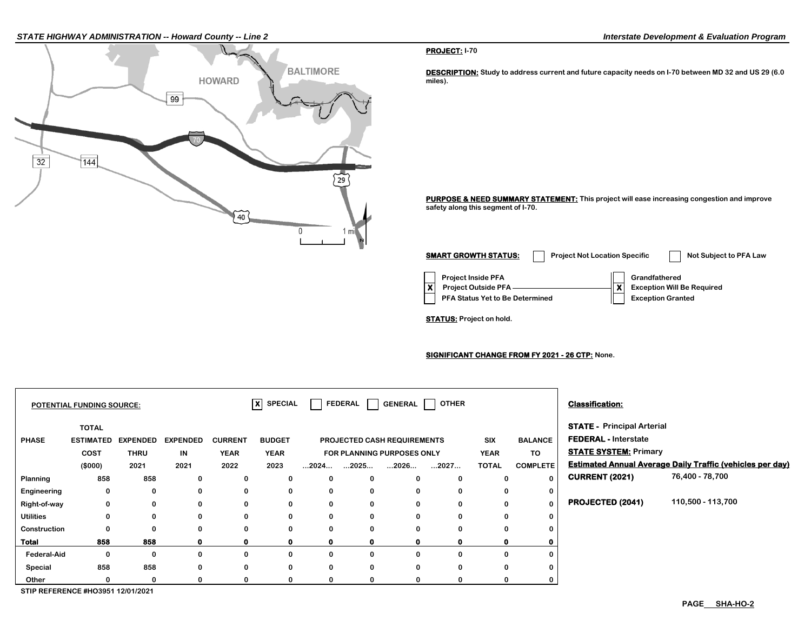#### *STATE HIGHWAY ADMINISTRATION -- Howard County -- Line 2 Interstate Development & Evaluation Program*



#### **PROJECT: I-70**

**DESCRIPTION: Study to address current and future capacity needs on I-70 between MD 32 and US 29 (6.0 miles).**

**PURPOSE & NEED SUMMARY STATEMENT: This project will ease increasing congestion and improve safety along this segment of I-70.**

**Project Inside PFA Grandfathered PFA Status Yet to Be Determined**  | Exception Granted **X** Project Outside PFA ————————————**X** Exception Will Be Required **SMART GROWTH STATUS:** Project Not Location Specific Not Subject to PFA Law

**STATUS: Project on hold.**

**SIGNIFICANT CHANGE FROM FY 2021 - 26 CTP: None.**

|                    | POTENTIAL FUNDING SOURCE:                           |                                        |                               |                                       | $\overline{\mathsf{x}}$ SPECIAL      |                      | FEDERAL      |                                                                   | GENERAL   OTHER |                                    |                                         | <b>Classification:</b>                                                                           |                                                                  |
|--------------------|-----------------------------------------------------|----------------------------------------|-------------------------------|---------------------------------------|--------------------------------------|----------------------|--------------|-------------------------------------------------------------------|-----------------|------------------------------------|-----------------------------------------|--------------------------------------------------------------------------------------------------|------------------------------------------------------------------|
| <b>PHASE</b>       | <b>TOTAL</b><br><b>ESTIMATED</b><br>COST<br>(\$000) | <b>EXPENDED</b><br><b>THRU</b><br>2021 | <b>EXPENDED</b><br>IN<br>2021 | <b>CURRENT</b><br><b>YEAR</b><br>2022 | <b>BUDGET</b><br><b>YEAR</b><br>2023 | $\dots$ 2024 $\dots$ | …2025…       | PROJECTED CASH REQUIREMENTS<br>FOR PLANNING PURPOSES ONLY<br>2026 | 2027            | SIX<br><b>YEAR</b><br><b>TOTAL</b> | <b>BALANCE</b><br>TO<br><b>COMPLETE</b> | <b>STATE - Principal Arterial</b><br><b>FEDERAL - Interstate</b><br><b>STATE SYSTEM: Primary</b> | <b>Estimated Annual Average Daily Traffic (vehicles per day)</b> |
| Planning           | 858                                                 | 858                                    | 0                             | 0                                     | 0                                    | 0                    | 0            | 0                                                                 | $\bf{0}$        | 0                                  | $\bf{0}$                                | <b>CURRENT (2021)</b>                                                                            | 76,400 - 78,700                                                  |
| Engineering        | 0                                                   | 0                                      | 0                             | 0                                     | 0                                    | 0                    | 0            | 0                                                                 | 0               | 0                                  | 0                                       |                                                                                                  |                                                                  |
| Right-of-way       | 0                                                   | 0                                      | 0                             | 0                                     | 0                                    | 0                    | 0            | 0                                                                 | $\bf{0}$        | 0                                  | $\Omega$                                | PROJECTED (2041)                                                                                 | 110,500 - 113,700                                                |
| <b>Utilities</b>   | 0                                                   | 0                                      | 0                             | 0                                     | 0                                    | $\mathbf 0$          | $\mathbf 0$  | $\bf{0}$                                                          | $\bf{0}$        | 0                                  |                                         |                                                                                                  |                                                                  |
| Construction       | 0                                                   | $\bf{0}$                               | 0                             | 0                                     | 0                                    | 0                    | 0            | $\Omega$                                                          | 0               | $\Omega$                           |                                         |                                                                                                  |                                                                  |
| Total              | 858                                                 | 858                                    |                               | 0                                     | 0                                    | 0                    | $\mathbf{o}$ |                                                                   |                 |                                    |                                         |                                                                                                  |                                                                  |
| <b>Federal-Aid</b> | 0                                                   | 0                                      |                               | 0                                     | 0                                    | 0                    | $\mathbf{0}$ | $\Omega$                                                          | $\Omega$        | $\Omega$                           |                                         |                                                                                                  |                                                                  |
| Special            | 858                                                 | 858                                    | 0                             | 0                                     | 0                                    | 0                    | 0            | 0                                                                 | 0               | 0                                  |                                         |                                                                                                  |                                                                  |
| Other              |                                                     | 0                                      |                               | 0                                     | 0                                    | 0                    | 0            |                                                                   | 0               |                                    |                                         |                                                                                                  |                                                                  |
|                    | STIP REFERENCE #HO3951 12/01/2021                   |                                        |                               |                                       |                                      |                      |              |                                                                   |                 |                                    |                                         |                                                                                                  |                                                                  |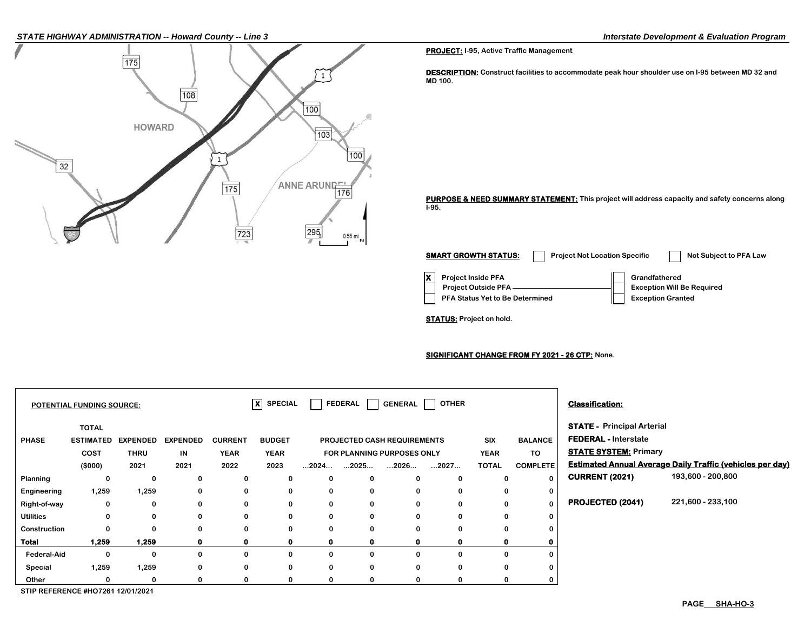#### *STATE HIGHWAY ADMINISTRATION -- Howard County -- Line 3 Interstate Development & Evaluation Program*



**PROJECT: I-95, Active Traffic Management**

**DESCRIPTION: Construct facilities to accommodate peak hour shoulder use on I-95 between MD 32 and MD 100.**

**PURPOSE & NEED SUMMARY STATEMENT: This project will address capacity and safety concerns along I-95.**

**X Project Inside PFA Grandfathered PFA Status Yet to Be Determined | Exception Granted Project Outside PFA Exception Will Be Required SMART GROWTH STATUS:** Project Not Location Specific Not Subject to PFA Law

**STATUS: Project on hold.**

**SIGNIFICANT CHANGE FROM FY 2021 - 26 CTP: None.**

|                  | POTENTIAL FUNDING SOURCE:                |                 |                 |                | $\overline{\mathsf{x}}$ SPECIAL |             |                                           | FEDERAL   GENERAL           | OTHER                |              |                 | <b>Classification:</b>            |                                                                  |
|------------------|------------------------------------------|-----------------|-----------------|----------------|---------------------------------|-------------|-------------------------------------------|-----------------------------|----------------------|--------------|-----------------|-----------------------------------|------------------------------------------------------------------|
|                  | <b>TOTAL</b>                             |                 |                 |                |                                 |             |                                           |                             |                      |              |                 | <b>STATE - Principal Arterial</b> |                                                                  |
| <b>PHASE</b>     | <b>ESTIMATED</b>                         | <b>EXPENDED</b> | <b>EXPENDED</b> | <b>CURRENT</b> | <b>BUDGET</b>                   |             |                                           | PROJECTED CASH REQUIREMENTS |                      | <b>SIX</b>   | <b>BALANCE</b>  | <b>FEDERAL - Interstate</b>       |                                                                  |
|                  | COST                                     | <b>THRU</b>     | IN              | <b>YEAR</b>    | <b>YEAR</b>                     |             |                                           | FOR PLANNING PURPOSES ONLY  |                      | <b>YEAR</b>  | TO              | <b>STATE SYSTEM: Primary</b>      |                                                                  |
|                  | (\$000)                                  | 2021            | 2021            | 2022           | 2023                            |             | $\dots$ 2024 $\dots$ $\dots$ 2025 $\dots$ | $\dots$ 2026 $\dots$        | $\dots$ 2027 $\dots$ | <b>TOTAL</b> | <b>COMPLETE</b> |                                   | <b>Estimated Annual Average Daily Traffic (vehicles per day)</b> |
| Planning         | 0                                        | 0               | 0               | 0              | 0                               | 0           | 0                                         | $\bf{0}$                    | 0                    | 0            | $\bf{0}$        | <b>CURRENT (2021)</b>             | 193,600 - 200,800                                                |
| Engineering      | 1,259                                    | 1,259           | 0               | 0              | 0                               | 0           | 0                                         | 0                           | 0                    | 0            | 0               |                                   |                                                                  |
| Right-of-way     | 0                                        | 0               | 0               | 0              | 0                               | 0           | 0                                         | 0                           | 0                    | 0            | $\bf{0}$        | <b>PROJECTED (2041)</b>           | 221,600 - 233,100                                                |
| <b>Utilities</b> | 0                                        | 0               | 0               | 0              | 0                               | 0           | 0                                         | 0                           | 0                    | 0            |                 |                                   |                                                                  |
| Construction     |                                          | 0               | O               | 0              | 0                               | 0           | 0                                         | 0                           | 0                    | 0            |                 |                                   |                                                                  |
| Total            | 1,259                                    | 1,259           | 0               | $\mathbf{0}$   | $\mathbf 0$                     | $\mathbf 0$ | $\mathbf{0}$                              | 0                           | 0                    | $\mathbf{0}$ |                 |                                   |                                                                  |
| Federal-Aid      | $\Omega$                                 | 0               | 0               | 0              | 0                               | $\mathbf 0$ | 0                                         | 0                           | 0                    | $\Omega$     |                 |                                   |                                                                  |
| Special          | 1,259                                    | 1,259           | 0               | 0              | 0                               | 0           | 0                                         | 0                           | 0                    | 0            |                 |                                   |                                                                  |
| Other            |                                          | 0               |                 | 0              | $\Omega$                        | 0           |                                           | 0                           | 0                    |              |                 |                                   |                                                                  |
|                  | <b>CTID DEEEDENGE #UQ7964 49/04/9094</b> |                 |                 |                |                                 |             |                                           |                             |                      |              |                 |                                   |                                                                  |

**STIP REFERENCE #HO7261 12/01/2021**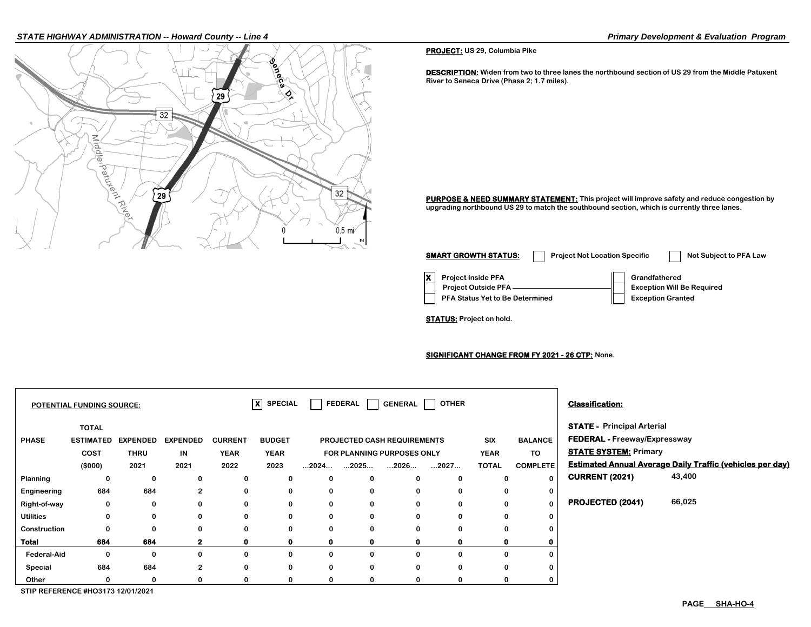#### *STATE HIGHWAY ADMINISTRATION -- Howard County -- Line 4 Primary Development & Evaluation Program*

₹ iddle

e patukent River

 $32$ 

29

29

 $32$ 

 $0.5$  mi

 $\Omega$ 

**PURPOSE & NEED SUMMARY STATEMENT:** This project will improve safety and reduce congestion by

**upgrading northbound US 29 to match the southbound section, which is currently three lanes.**

**X** Project Inside PFA **Grandfathered PFA Status Yet to Be Determined**  $||$  **Exception Granted Project Outside PFA Exception Will Be Required SMART GROWTH STATUS:** Project Not Location Specific Not Subject to PFA Law

**SIGNIFICANT CHANGE FROM FY 2021 - 26 CTP: None.**

|                  | <b>POTENTIAL FUNDING SOURCE:</b> |                 |                 |                | $ X $ SPECIAL |                      |              | FEDERAL   GENERAL                  | <b>OTHER</b> |              |                 | <b>Classification:</b>              |                                                                  |
|------------------|----------------------------------|-----------------|-----------------|----------------|---------------|----------------------|--------------|------------------------------------|--------------|--------------|-----------------|-------------------------------------|------------------------------------------------------------------|
|                  | <b>TOTAL</b>                     |                 |                 |                |               |                      |              |                                    |              |              |                 | <b>STATE - Principal Arterial</b>   |                                                                  |
| <b>PHASE</b>     | <b>ESTIMATED</b>                 | <b>EXPENDED</b> | <b>EXPENDED</b> | <b>CURRENT</b> | <b>BUDGET</b> |                      |              | <b>PROJECTED CASH REQUIREMENTS</b> |              | SIX          | <b>BALANCE</b>  | <b>FEDERAL - Freeway/Expressway</b> |                                                                  |
|                  | <b>COST</b>                      | <b>THRU</b>     | IN              | <b>YEAR</b>    | <b>YEAR</b>   |                      |              | FOR PLANNING PURPOSES ONLY         |              | <b>YEAR</b>  | <b>TO</b>       | <b>STATE SYSTEM: Primary</b>        |                                                                  |
|                  | (\$000)                          | 2021            | 2021            | 2022           | 2023          | $\dots$ 2024 $\dots$ | 2025         | 2026                               | 2027         | <b>TOTAL</b> | <b>COMPLETE</b> |                                     | <b>Estimated Annual Average Daily Traffic (vehicles per day)</b> |
| Planning         | 0                                | 0               | 0               | 0              | 0             | 0                    | 0            | 0                                  | $\bf{0}$     | 0            | $\mathbf{0}$    | <b>CURRENT (2021)</b>               | 43,400                                                           |
| Engineering      | 684                              | 684             | 2               | 0              | 0             | 0                    | 0            | 0                                  | 0            | 0            | 0               |                                     |                                                                  |
| Right-of-way     | 0                                | 0               | 0               | 0              | 0             | 0                    | 0            | $\bf{0}$                           | 0            | $\Omega$     | 0               | PROJECTED (2041)                    | 66,025                                                           |
| <b>Utilities</b> | 0                                | 0               | 0               | 0              | 0             | 0                    | 0            | $\bf{0}$                           | $\bf{0}$     | $\Omega$     | 0               |                                     |                                                                  |
| Construction     | 0                                | 0               | 0               | 0              | 0             | 0                    | 0            | $\bf{0}$                           | 0            | 0            | 0               |                                     |                                                                  |
| <b>Total</b>     | 684                              | 684             |                 | O              | $\mathbf 0$   | 0                    | $\mathbf{0}$ | Ω                                  | 0            |              |                 |                                     |                                                                  |
| Federal-Aid      | 0                                | 0               | 0               | 0              | 0             | 0                    | 0            | 0                                  | 0            | $\Omega$     | 0               |                                     |                                                                  |
| Special          | 684                              | 684             | $\overline{2}$  | 0              | 0             | 0                    | $\mathbf 0$  | $\bf{0}$                           | $\bf{0}$     | 0            | 0               |                                     |                                                                  |
| Other            |                                  | 0               | 0               | 0              | 0             | 0                    | $\mathbf 0$  | 0                                  | 0            | 0            | 0               |                                     |                                                                  |

**STIP REFERENCE #HO3173 12/01/2021**

**STATUS: Project on hold.**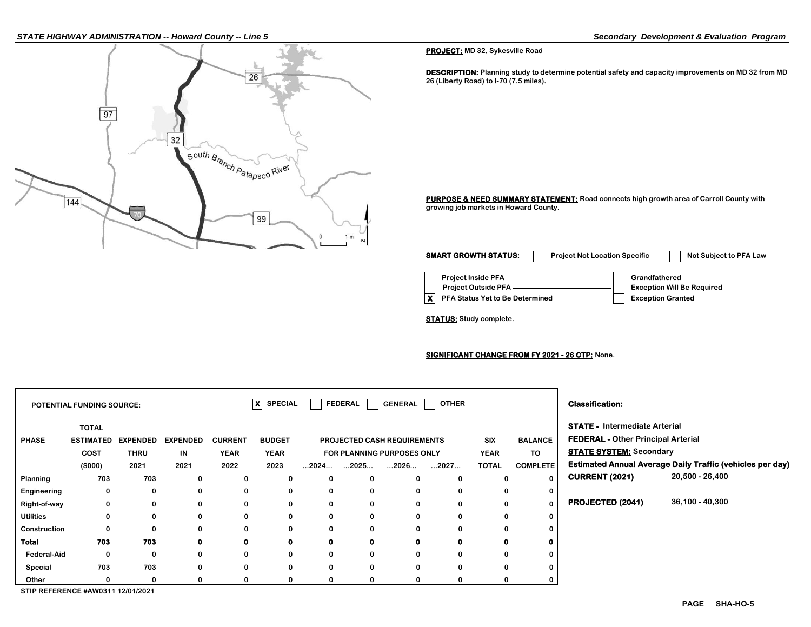#### *STATE HIGHWAY ADMINISTRATION -- Howard County -- Line 5 Secondary Development & Evaluation Program*



**PROJECT: MD 32, Sykesville Road**

**DESCRIPTION:** Planning study to determine potential safety and capacity improvements on MD 32 from MD **26 (Liberty Road) to I-70 (7.5 miles).**

**PURPOSE & NEED SUMMARY STATEMENT: Road connects high growth area of Carroll County with growing job markets in Howard County.**

| <b>SMART GROWTH STATUS:</b>                                                                | <b>Project Not Location Specific</b> | Not Subject to PFA Law                                                         |
|--------------------------------------------------------------------------------------------|--------------------------------------|--------------------------------------------------------------------------------|
| <b>Project Inside PFA</b><br><b>Project Outside PFA</b><br>PFA Status Yet to Be Determined |                                      | Grandfathered<br><b>Exception Will Be Required</b><br><b>Exception Granted</b> |

**STATUS: Study complete.**

**SIGNIFICANT CHANGE FROM FY 2021 - 26 CTP: None.**

|                    | <b>POTENTIAL FUNDING SOURCE:</b>         |                 |                 |                | lxl<br><b>SPECIAL</b> |                      | <b>FEDERAL</b>       | GENERAL                            | <b>OTHER</b> |              |                 | <b>Classification:</b>                    |                                                                  |
|--------------------|------------------------------------------|-----------------|-----------------|----------------|-----------------------|----------------------|----------------------|------------------------------------|--------------|--------------|-----------------|-------------------------------------------|------------------------------------------------------------------|
|                    | <b>TOTAL</b>                             |                 |                 |                |                       |                      |                      |                                    |              |              |                 | <b>STATE - Intermediate Arterial</b>      |                                                                  |
| <b>PHASE</b>       | <b>ESTIMATED</b>                         | <b>EXPENDED</b> | <b>EXPENDED</b> | <b>CURRENT</b> | <b>BUDGET</b>         |                      |                      | <b>PROJECTED CASH REQUIREMENTS</b> |              | <b>SIX</b>   | <b>BALANCE</b>  | <b>FEDERAL - Other Principal Arterial</b> |                                                                  |
|                    | <b>COST</b>                              | <b>THRU</b>     | IN              | <b>YEAR</b>    | <b>YEAR</b>           |                      |                      | FOR PLANNING PURPOSES ONLY         |              | <b>YEAR</b>  | TO              | <b>STATE SYSTEM: Secondary</b>            |                                                                  |
|                    | (\$000)                                  | 2021            | 2021            | 2022           | 2023                  | $\dots$ 2024 $\dots$ | $\dots$ 2025 $\dots$ | 2026                               | 2027         | <b>TOTAL</b> | <b>COMPLETE</b> |                                           | <b>Estimated Annual Average Daily Traffic (vehicles per day)</b> |
| Planning           | 703                                      | 703             | 0               | 0              | 0                     | 0                    | 0                    |                                    | 0            | 0            | $\Omega$        | <b>CURRENT (2021)</b>                     | 20,500 - 26,400                                                  |
| Engineering        | 0                                        | 0               | 0               | 0              | 0                     | 0                    | 0                    |                                    | 0            | 0            | $\bf{0}$        |                                           |                                                                  |
| Right-of-way       | 0                                        | $\bf{0}$        | 0               | 0              | 0                     | 0                    | 0                    |                                    | 0            | 0            | $\Omega$        | PROJECTED (2041)                          | 36,100 - 40,300                                                  |
| <b>Utilities</b>   | $\bf{0}$                                 | 0               | 0               | 0              | 0                     | 0                    | 0                    |                                    | 0            | 0            | 0               |                                           |                                                                  |
| Construction       | 0                                        | 0               | 0               | 0              | 0                     |                      | 0                    |                                    | 0            | 0            | 0               |                                           |                                                                  |
| <b>Total</b>       | 703                                      | 703             | 0               | $\mathbf{o}$   | $\mathbf{0}$          | $\mathbf{0}$         | $\mathbf{0}$         | 0.                                 | 0            | $\mathbf 0$  |                 |                                           |                                                                  |
| <b>Federal-Aid</b> | 0                                        | 0               | 0               | 0              | 0                     | 0                    | 0                    |                                    | 0            | 0            | 0               |                                           |                                                                  |
| Special            | 703                                      | 703             | 0               | 0              | 0                     | 0                    | 0                    |                                    | 0            | 0            | 0               |                                           |                                                                  |
| Other              | $\Omega$                                 | $\Omega$        | <sup>0</sup>    | 0              |                       |                      | 0                    |                                    | 0            |              |                 |                                           |                                                                  |
|                    | <b>CTID DEFEDENCE #AWOOAA 40/04/0004</b> |                 |                 |                |                       |                      |                      |                                    |              |              |                 |                                           |                                                                  |

**STIP REFERENCE #AW0311 12/01/2021**

ா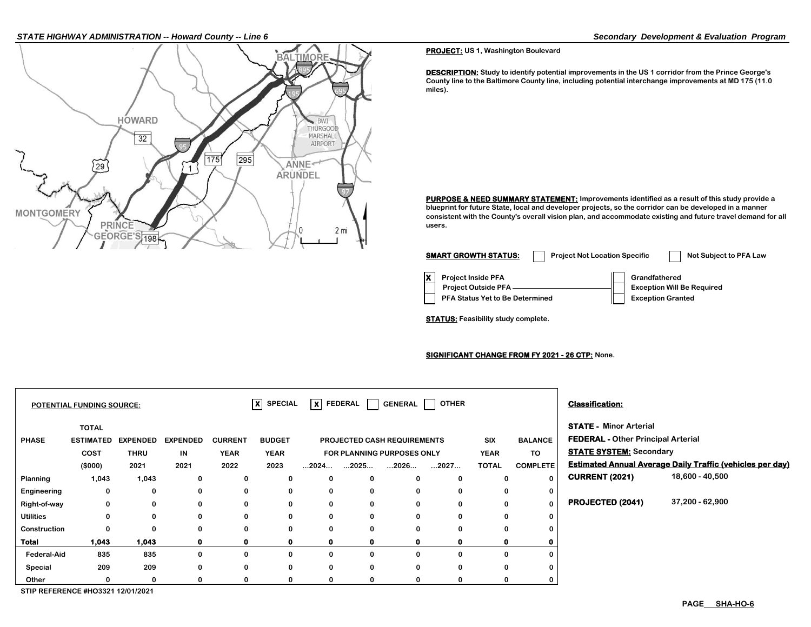#### *STATE HIGHWAY ADMINISTRATION -- Howard County -- Line 6 Secondary Development & Evaluation Program*



**PROJECT: US 1, Washington Boulevard**

**DESCRIPTION: Study to identify potential improvements in the US 1 corridor from the Prince George's County line to the Baltimore County line, including potential interchange improvements at MD 175 (11.0 miles).**

**PURPOSE & NEED SUMMARY STATEMENT: Improvements identified as a result of this study provide a blueprint for future State, local and developer projects, so the corridor can be developed in a manner consistent with the County's overall vision plan, and accommodate existing and future travel demand for all users.**

| <b>SMART GROWTH STATUS:</b>                                                                | <b>Project Not Location Specific</b> |               | Not Subject to PFA Law                                        |
|--------------------------------------------------------------------------------------------|--------------------------------------|---------------|---------------------------------------------------------------|
| <b>Project Inside PFA</b><br><b>Project Outside PFA</b><br>PFA Status Yet to Be Determined |                                      | Grandfathered | <b>Exception Will Be Required</b><br><b>Exception Granted</b> |

**STATUS: Feasibility study complete.**

#### **SIGNIFICANT CHANGE FROM FY 2021 - 26 CTP: None.**

|                  | POTENTIAL FUNDING SOURCE: |                 |                 |                | $ X $ SPECIAL |              | $\overline{\mathsf{x}}$ FEDERAL | GENERAL I                   | <b>OTHER</b> |              |                 | <b>Classification:</b>                    |                                                                  |
|------------------|---------------------------|-----------------|-----------------|----------------|---------------|--------------|---------------------------------|-----------------------------|--------------|--------------|-----------------|-------------------------------------------|------------------------------------------------------------------|
|                  | <b>TOTAL</b>              |                 |                 |                |               |              |                                 |                             |              |              |                 | <b>STATE - Minor Arterial</b>             |                                                                  |
| <b>PHASE</b>     | <b>ESTIMATED</b>          | <b>EXPENDED</b> | <b>EXPENDED</b> | <b>CURRENT</b> | <b>BUDGET</b> |              |                                 | PROJECTED CASH REQUIREMENTS |              | <b>SIX</b>   | <b>BALANCE</b>  | <b>FEDERAL - Other Principal Arterial</b> |                                                                  |
|                  | <b>COST</b>               | <b>THRU</b>     | IN              | <b>YEAR</b>    | <b>YEAR</b>   |              |                                 | FOR PLANNING PURPOSES ONLY  |              | <b>YEAR</b>  | <b>TO</b>       | <b>STATE SYSTEM: Secondary</b>            |                                                                  |
|                  | (\$000)                   | 2021            | 2021            | 2022           | 2023          |              | $2024$ $2025$                   | $\dots$ 2026 $\dots$        | 2027         | <b>TOTAL</b> | <b>COMPLETE</b> |                                           | <b>Estimated Annual Average Daily Traffic (vehicles per day)</b> |
| Planning         | 1,043                     | 1,043           | 0               | 0              | 0             | 0            | 0                               | $\bf{0}$                    | 0            | 0            | $\mathbf{0}$    | <b>CURRENT (2021)</b>                     | 18,600 - 40,500                                                  |
| Engineering      | 0                         | 0               | 0               | 0              | 0             | $\mathbf 0$  | 0                               | 0                           | 0            | 0            | 0               |                                           |                                                                  |
| Right-of-way     | 0                         | 0               | 0               | 0              | 0             | 0            | 0                               | 0                           | 0            | 0            | $\mathbf{0}$    | PROJECTED (2041)                          | 37,200 - 62,900                                                  |
| <b>Utilities</b> | 0                         | 0               | 0               | 0              | 0             | $\mathbf 0$  | 0                               | 0                           | 0            | 0            | 0               |                                           |                                                                  |
| Construction     | 0                         | 0               | $\Omega$        | 0              | 0             | $\mathbf 0$  | 0                               | $\bf{0}$                    | 0            | 0            | 0               |                                           |                                                                  |
| <b>Total</b>     | 1,043                     | 1,043           | $\mathbf{0}$    | $\mathbf{0}$   | 0             | $\mathbf{0}$ | $\mathbf{0}$                    | 0                           | 0            | 0            | 0               |                                           |                                                                  |
| Federal-Aid      | 835                       | 835             | 0               | 0              | 0             | 0            | 0                               | 0                           | 0            | 0            | 0               |                                           |                                                                  |
| Special          | 209                       | 209             | 0               | 0              | 0             | $\mathbf 0$  | 0                               | $\bf{0}$                    | 0            | 0            | 0               |                                           |                                                                  |
| Other            |                           | 0               |                 | 0              | 0             | 0            | 0                               | 0                           | 0            | 0            | 0               |                                           |                                                                  |

**STIP REFERENCE #HO3321 12/01/2021**